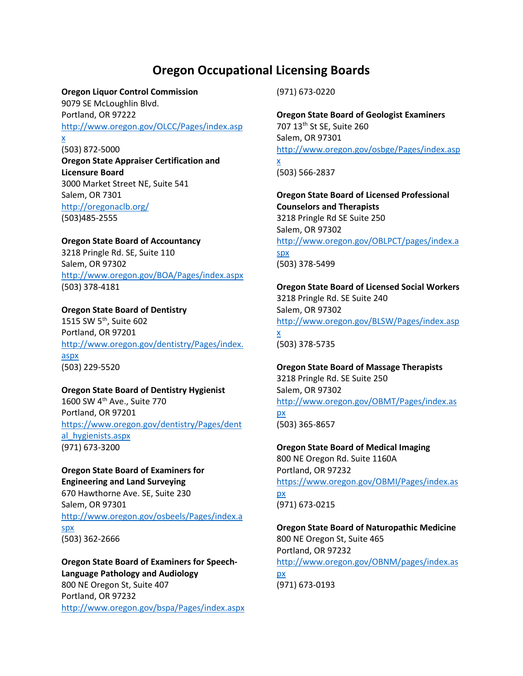# **Oregon Occupational Licensing Boards**

#### **Oregon Liquor Control Commission**

9079 SE McLoughlin Blvd. Portland, OR 97222 [http://www.oregon.gov/OLCC/Pages/index.asp](http://www.oregon.gov/OLCC/Pages/index.aspx) [x](http://www.oregon.gov/OLCC/Pages/index.aspx)

(503) 872-5000 **Oregon State Appraiser Certification and Licensure Board** 3000 Market Street NE, Suite 541 Salem, OR 7301 <http://oregonaclb.org/> (503)485-2555

**Oregon State Board of Accountancy** 3218 Pringle Rd. SE, Suite 110 Salem, OR 97302 <http://www.oregon.gov/BOA/Pages/index.aspx> (503) 378-4181

**Oregon State Board of Dentistry** 1515 SW 5th, Suite 602 Portland, OR 97201 [http://www.oregon.gov/dentistry/Pages/index.](http://www.oregon.gov/dentistry/Pages/index.aspx) [aspx](http://www.oregon.gov/dentistry/Pages/index.aspx) (503) 229-5520

**Oregon State Board of Dentistry Hygienist** 1600 SW 4<sup>th</sup> Ave., Suite 770 Portland, OR 97201 [https://www.oregon.gov/dentistry/Pages/dent](https://www.oregon.gov/dentistry/Pages/dental_hygienists.aspx) al hygienists.aspx (971) 673-3200

## **Oregon State Board of Examiners for Engineering and Land Surveying**

670 Hawthorne Ave. SE, Suite 230 Salem, OR 97301 [http://www.oregon.gov/osbeels/Pages/index.a](http://www.oregon.gov/osbeels/Pages/index.aspx) [spx](http://www.oregon.gov/osbeels/Pages/index.aspx) (503) 362-2666

**Oregon State Board of Examiners for Speech-Language Pathology and Audiology** 800 NE Oregon St, Suite 407 Portland, OR 97232 <http://www.oregon.gov/bspa/Pages/index.aspx> (971) 673-0220

**Oregon State Board of Geologist Examiners** 707 13th St SE, Suite 260 Salem, OR 97301 [http://www.oregon.gov/osbge/Pages/index.asp](http://www.oregon.gov/osbge/Pages/index.aspx)

[x](http://www.oregon.gov/osbge/Pages/index.aspx) (503) 566-2837

**Oregon State Board of Licensed Professional Counselors and Therapists** 3218 Pringle Rd SE Suite 250 Salem, OR 97302 [http://www.oregon.gov/OBLPCT/pages/index.a](http://www.oregon.gov/OBLPCT/pages/index.aspx) [spx](http://www.oregon.gov/OBLPCT/pages/index.aspx) (503) 378-5499

## **Oregon State Board of Licensed Social Workers** 3218 Pringle Rd. SE Suite 240

Salem, OR 97302 [http://www.oregon.gov/BLSW/Pages/index.asp](http://www.oregon.gov/BLSW/Pages/index.aspx) [x](http://www.oregon.gov/BLSW/Pages/index.aspx) (503) 378-5735

# **Oregon State Board of Massage Therapists**

3218 Pringle Rd. SE Suite 250 Salem, OR 97302 [http://www.oregon.gov/OBMT/Pages/index.as](http://www.oregon.gov/OBMT/Pages/index.aspx) [px](http://www.oregon.gov/OBMT/Pages/index.aspx) (503) 365-8657

**Oregon State Board of Medical Imaging** 800 NE Oregon Rd. Suite 1160A Portland, OR 97232 [https://www.oregon.gov/OBMI/Pages/index.as](https://www.oregon.gov/OBMI/Pages/index.aspx) [px](https://www.oregon.gov/OBMI/Pages/index.aspx)

(971) 673-0215

**Oregon State Board of Naturopathic Medicine** 800 NE Oregon St, Suite 465 Portland, OR 97232 [http://www.oregon.gov/OBNM/pages/index.as](http://www.oregon.gov/OBNM/pages/index.aspx) [px](http://www.oregon.gov/OBNM/pages/index.aspx) (971) 673-0193